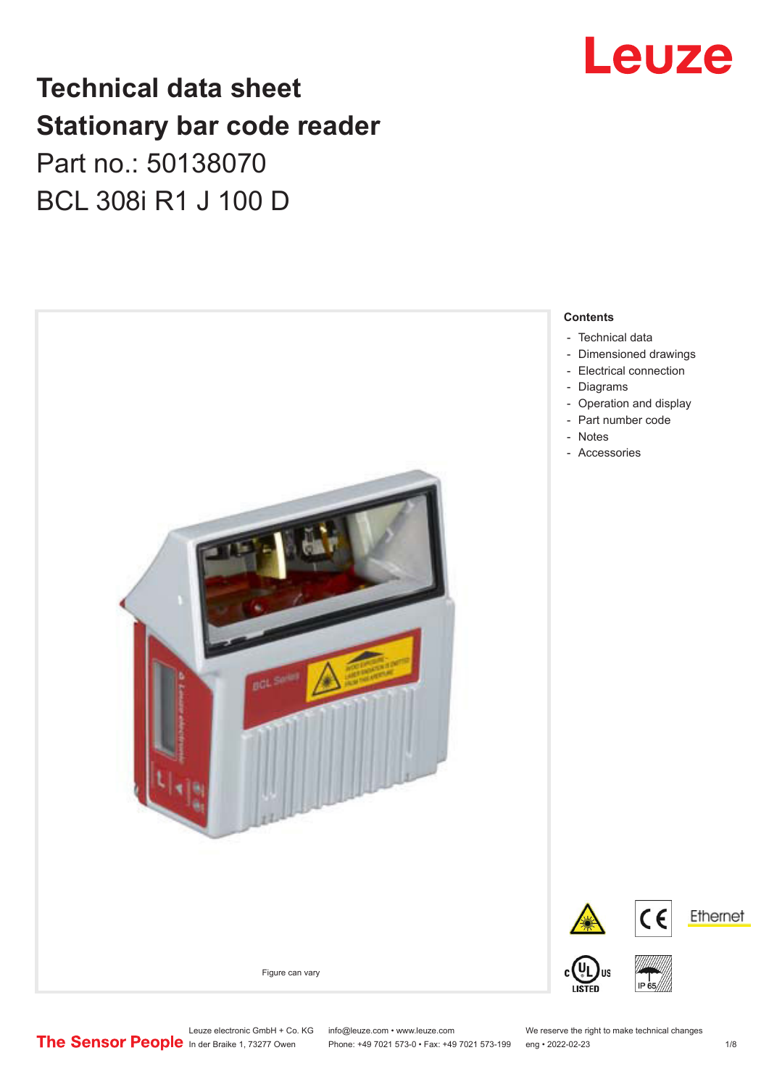## **Technical data sheet Stationary bar code reader** Part no.: 50138070 BCL 308i R1 J 100 D



## Leuze

Leuze electronic GmbH + Co. KG info@leuze.com • www.leuze.com We reserve the right to make technical changes<br>
The Sensor People in der Braike 1, 73277 Owen Phone: +49 7021 573-0 • Fax: +49 7021 573-199 eng • 2022-02-23

Phone: +49 7021 573-0 • Fax: +49 7021 573-199 eng • 2022-02-23 1 /8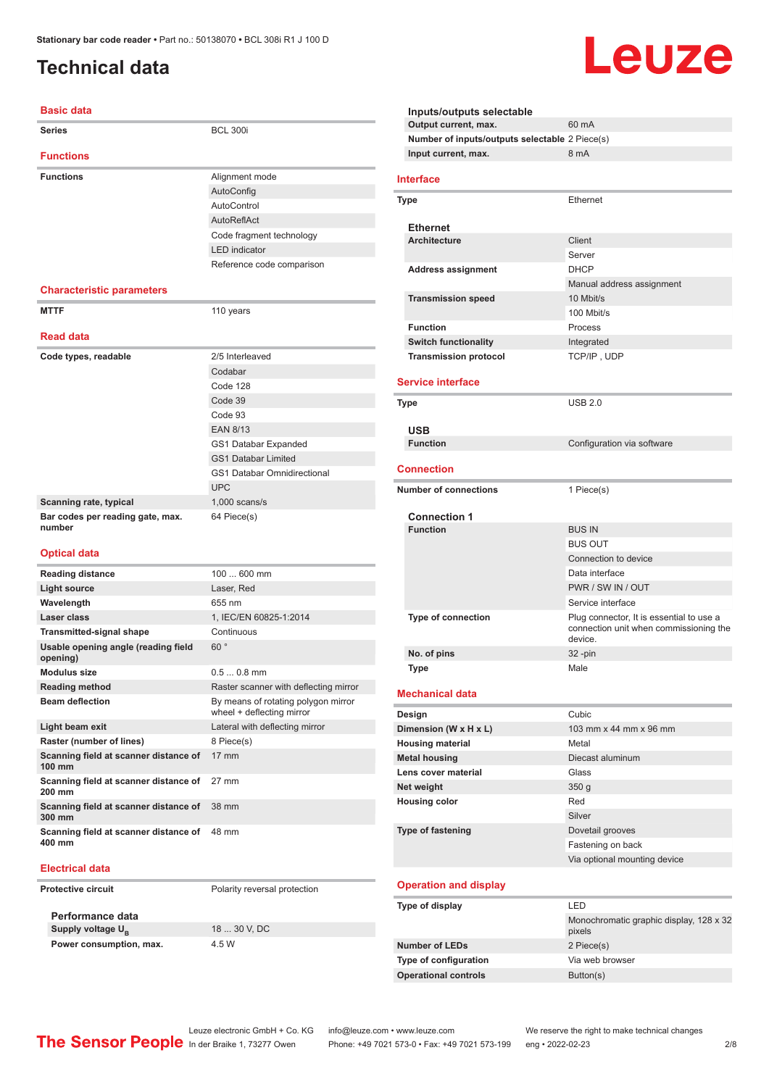### <span id="page-1-0"></span>**Technical data**

#### **Basic data**

| <b>Series</b>                                   | <b>BCL 300i</b>                       |
|-------------------------------------------------|---------------------------------------|
| <b>Functions</b>                                |                                       |
| <b>Functions</b>                                | Alignment mode                        |
|                                                 | AutoConfig                            |
|                                                 | AutoControl                           |
|                                                 | AutoReflAct                           |
|                                                 | Code fragment technology              |
|                                                 | <b>LED</b> indicator                  |
|                                                 | Reference code comparison             |
| <b>Characteristic parameters</b>                |                                       |
| <b>MTTF</b>                                     | 110 years                             |
| <b>Read data</b>                                |                                       |
| Code types, readable                            | 2/5 Interleaved                       |
|                                                 | Codabar                               |
|                                                 | Code 128                              |
|                                                 | Code 39                               |
|                                                 | Code 93                               |
|                                                 | <b>EAN 8/13</b>                       |
|                                                 | GS1 Databar Expanded                  |
|                                                 | <b>GS1 Databar Limited</b>            |
|                                                 | <b>GS1 Databar Omnidirectional</b>    |
|                                                 | <b>UPC</b>                            |
| Scanning rate, typical                          | $1,000$ scans/s                       |
| Bar codes per reading gate, max.<br>number      | 64 Piece(s)                           |
| <b>Optical data</b>                             |                                       |
| <b>Reading distance</b>                         | 100  600 mm                           |
| <b>Light source</b>                             | Laser, Red                            |
| Wavelength                                      | 655 nm                                |
| Laser class                                     | 1, IEC/EN 60825-1:2014                |
| <b>Transmitted-signal shape</b>                 | Continuous                            |
| Usable opening angle (reading field<br>opening) | 60°                                   |
| <b>Modulus size</b>                             | $0.50.8$ mm                           |
| <b>Reading method</b>                           | Raster scanner with deflecting mirror |
| <b>Ream deflection</b>                          | By means of rotating polygon mirror   |

| By means of rotating polygon mirror<br>wheel + deflecting mirror |
|------------------------------------------------------------------|
| Lateral with deflecting mirror                                   |
| 8 Piece(s)                                                       |
| $17 \text{ mm}$                                                  |
| 27 mm                                                            |
| 38 mm                                                            |
| 48 mm                                                            |
|                                                                  |

#### **Electrical data**

**Protective circuit** Polarity reversal protection

**Performance data Supply voltage U<sub>B</sub> Power consumption, max.** 4.5 W

18 ... 30 V, DC

| Inputs/outputs selectable |                                                |                                                   |
|---------------------------|------------------------------------------------|---------------------------------------------------|
|                           | Output current, max.                           | 60 mA                                             |
|                           | Number of inputs/outputs selectable 2 Piece(s) |                                                   |
|                           | Input current, max.                            | 8 mA                                              |
|                           | <b>Interface</b>                               |                                                   |
|                           | Type                                           | Ethernet                                          |
|                           | <b>Ethernet</b>                                |                                                   |
|                           | <b>Architecture</b>                            | Client                                            |
|                           |                                                | Server                                            |
|                           | <b>Address assignment</b>                      | <b>DHCP</b>                                       |
|                           |                                                | Manual address assignment                         |
|                           | <b>Transmission speed</b>                      | 10 Mbit/s                                         |
|                           |                                                | 100 Mbit/s                                        |
|                           | <b>Function</b>                                | Process                                           |
|                           | <b>Switch functionality</b>                    | Integrated                                        |
|                           | <b>Transmission protocol</b>                   | TCP/IP, UDP                                       |
|                           | <b>Service interface</b>                       |                                                   |
|                           |                                                |                                                   |
|                           | Type                                           | <b>USB 2.0</b>                                    |
|                           | <b>USB</b>                                     |                                                   |
|                           | <b>Function</b>                                | Configuration via software                        |
|                           |                                                |                                                   |
|                           | Connection                                     |                                                   |
|                           | <b>Number of connections</b>                   | 1 Piece(s)                                        |
|                           | <b>Connection 1</b>                            |                                                   |
|                           | <b>Function</b>                                | <b>BUS IN</b>                                     |
|                           |                                                | <b>BUS OUT</b>                                    |
|                           |                                                | Connection to device                              |
|                           |                                                | Data interface                                    |
|                           |                                                | PWR / SW IN / OUT<br>Service interface            |
|                           | <b>Type of connection</b>                      | Plug connector, It is essential to use a          |
|                           |                                                | connection unit when commissioning the<br>device. |
|                           | No. of pins                                    | 32 -pin                                           |
|                           | Type                                           | Male                                              |
|                           | Mechanical data                                |                                                   |
|                           | Design                                         | Cubic                                             |
|                           | Dimension (W x H x L)                          | 103 mm x 44 mm x 96 mm                            |
|                           | <b>Housing material</b>                        | Metal                                             |
|                           | <b>Metal housing</b>                           | Diecast aluminum                                  |
|                           | Lens cover material                            | Glass                                             |
|                           | Net weight                                     | 350 <sub>g</sub>                                  |
|                           | <b>Housing color</b>                           | Red                                               |
|                           |                                                | Silver                                            |
|                           | <b>Type of fastening</b>                       | Dovetail grooves                                  |
|                           |                                                | Fastening on back<br>Via optional mounting device |
|                           |                                                |                                                   |
|                           | <b>Operation and display</b>                   |                                                   |
|                           | Type of display                                | LED                                               |
|                           |                                                | Monochromatic graphic display, 128 x 32<br>pixels |
|                           | <b>Number of LEDs</b>                          | 2 Piece(s)                                        |
|                           | Type of configuration                          | Via web browser                                   |
|                           | <b>Operational controls</b>                    | Button(s)                                         |
|                           |                                                |                                                   |

Leuze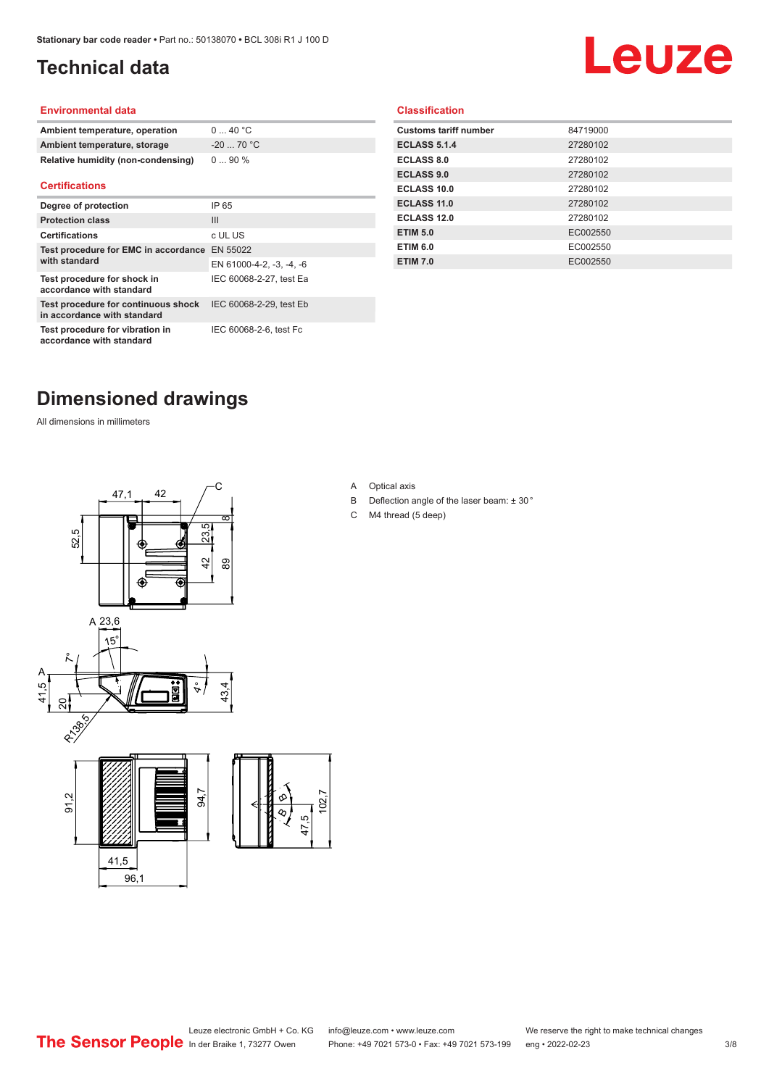### <span id="page-2-0"></span>**Technical data**

# Leuze

#### **Environmental data**

| Ambient temperature, operation     | 040 °C     |
|------------------------------------|------------|
| Ambient temperature, storage       | $-2070 °C$ |
| Relative humidity (non-condensing) | $090\%$    |

#### **Certifications**

| Degree of protection                                               | IP 65                    |
|--------------------------------------------------------------------|--------------------------|
| <b>Protection class</b>                                            | Ш                        |
| <b>Certifications</b>                                              | c UL US                  |
| Test procedure for EMC in accordance EN 55022<br>with standard     |                          |
|                                                                    | EN 61000-4-2, -3, -4, -6 |
| Test procedure for shock in<br>accordance with standard            | IEC 60068-2-27, test Ea  |
| Test procedure for continuous shock<br>in accordance with standard | IEC 60068-2-29, test Eb  |
| Test procedure for vibration in<br>accordance with standard        | IEC 60068-2-6, test Fc   |

#### **Classification**

| <b>Customs tariff number</b> | 84719000 |
|------------------------------|----------|
| <b>ECLASS 5.1.4</b>          | 27280102 |
| <b>ECLASS 8.0</b>            | 27280102 |
| <b>ECLASS 9.0</b>            | 27280102 |
| ECLASS 10.0                  | 27280102 |
| <b>ECLASS 11.0</b>           | 27280102 |
| ECLASS 12.0                  | 27280102 |
| <b>ETIM 5.0</b>              | EC002550 |
| <b>ETIM 6.0</b>              | EC002550 |
| <b>ETIM 7.0</b>              | EC002550 |
|                              |          |

#### **Dimensioned drawings**

All dimensions in millimeters



A Optical axis

 $\infty$ 

- B Deflection angle of the laser beam: ± 30 °
- C M4 thread (5 deep)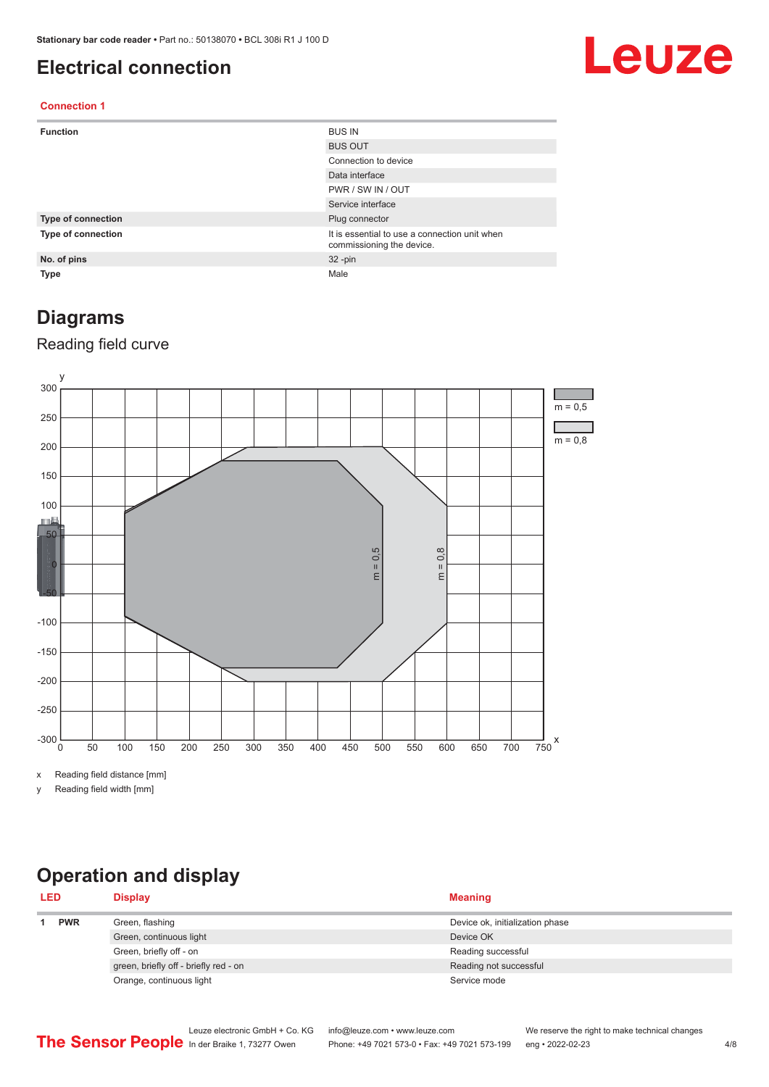#### <span id="page-3-0"></span>**Electrical connection**

## Leuze

#### **Connection 1**

| <b>Function</b>           | <b>BUS IN</b>                                                              |
|---------------------------|----------------------------------------------------------------------------|
|                           | <b>BUS OUT</b>                                                             |
|                           | Connection to device                                                       |
|                           | Data interface                                                             |
|                           | PWR / SW IN / OUT                                                          |
|                           | Service interface                                                          |
| <b>Type of connection</b> | Plug connector                                                             |
| Type of connection        | It is essential to use a connection unit when<br>commissioning the device. |
| No. of pins               | $32 - pin$                                                                 |
| <b>Type</b>               | Male                                                                       |

#### **Diagrams**

#### Reading field curve



x Reading field distance [mm]

y Reading field width [mm]

### **Operation and display**

| <b>LED</b> |            | <b>Display</b>                        | <b>Meaning</b>                  |
|------------|------------|---------------------------------------|---------------------------------|
|            | <b>PWR</b> | Green, flashing                       | Device ok, initialization phase |
|            |            | Green, continuous light               | Device OK                       |
|            |            | Green, briefly off - on               | Reading successful              |
|            |            | green, briefly off - briefly red - on | Reading not successful          |
|            |            | Orange, continuous light              | Service mode                    |
|            |            |                                       |                                 |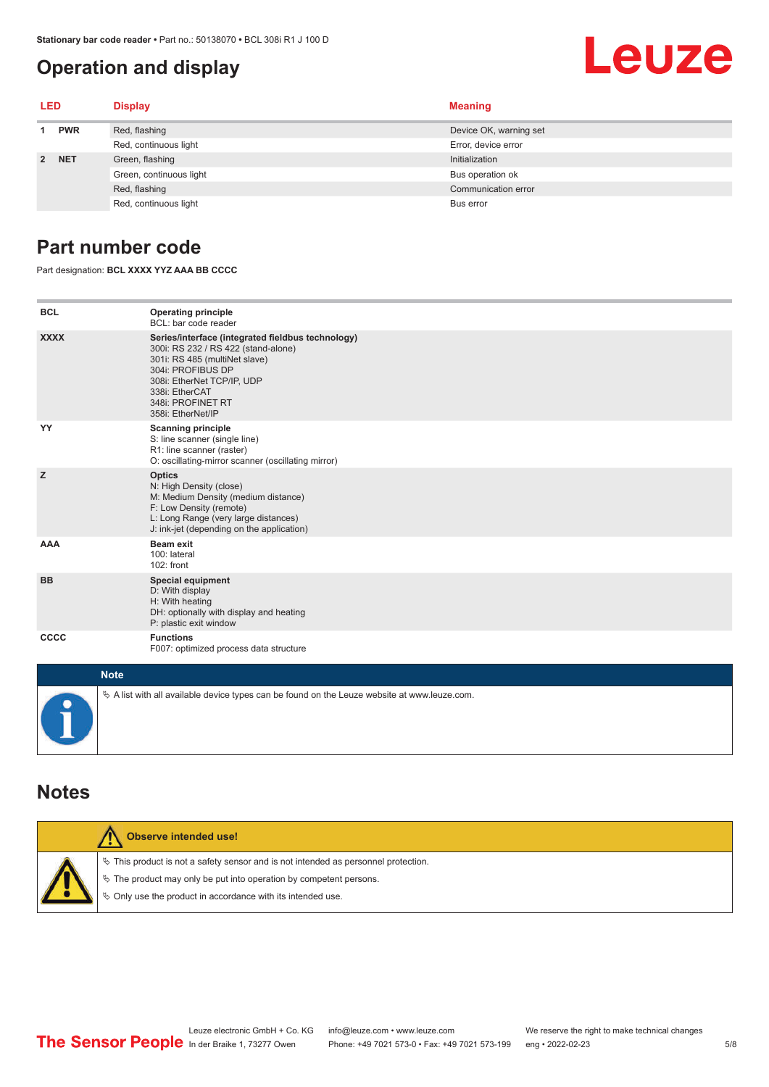#### <span id="page-4-0"></span>**Operation and display**

## Leuze

| <b>LED</b>  |            | <b>Display</b>          | <b>Meaning</b>         |
|-------------|------------|-------------------------|------------------------|
|             | <b>PWR</b> | Red, flashing           | Device OK, warning set |
|             |            | Red, continuous light   | Error, device error    |
| $2^{\circ}$ | <b>NET</b> | Green, flashing         | Initialization         |
|             |            | Green, continuous light | Bus operation ok       |
|             |            | Red, flashing           | Communication error    |
|             |            | Red, continuous light   | Bus error              |

#### **Part number code**

Part designation: **BCL XXXX YYZ AAA BB CCCC**

| <b>BCL</b>         | <b>Operating principle</b><br>BCL: bar code reader                                                                                                                                                                                       |
|--------------------|------------------------------------------------------------------------------------------------------------------------------------------------------------------------------------------------------------------------------------------|
| <b>XXXX</b>        | Series/interface (integrated fieldbus technology)<br>300i: RS 232 / RS 422 (stand-alone)<br>301i: RS 485 (multiNet slave)<br>304i: PROFIBUS DP<br>308i: EtherNet TCP/IP, UDP<br>338i: EtherCAT<br>348i: PROFINET RT<br>358i: EtherNet/IP |
| YY                 | <b>Scanning principle</b><br>S: line scanner (single line)<br>R1: line scanner (raster)<br>O: oscillating-mirror scanner (oscillating mirror)                                                                                            |
| z                  | <b>Optics</b><br>N: High Density (close)<br>M: Medium Density (medium distance)<br>F: Low Density (remote)<br>L: Long Range (very large distances)<br>J: ink-jet (depending on the application)                                          |
| <b>AAA</b>         | <b>Beam exit</b><br>100: lateral<br>102: front                                                                                                                                                                                           |
| <b>BB</b>          | <b>Special equipment</b><br>D: With display<br>H: With heating<br>DH: optionally with display and heating<br>P: plastic exit window                                                                                                      |
| CCCC               | <b>Functions</b><br>F007: optimized process data structure                                                                                                                                                                               |
| <b>Sales State</b> |                                                                                                                                                                                                                                          |

| <b>Note</b>                                                                                       |
|---------------------------------------------------------------------------------------------------|
| $\phi$ A list with all available device types can be found on the Leuze website at www.leuze.com. |

#### **Notes**

| Observe intended use!                                                                                                                                                                                                      |
|----------------------------------------------------------------------------------------------------------------------------------------------------------------------------------------------------------------------------|
| $\%$ This product is not a safety sensor and is not intended as personnel protection.<br>↓ The product may only be put into operation by competent persons.<br>♦ Only use the product in accordance with its intended use. |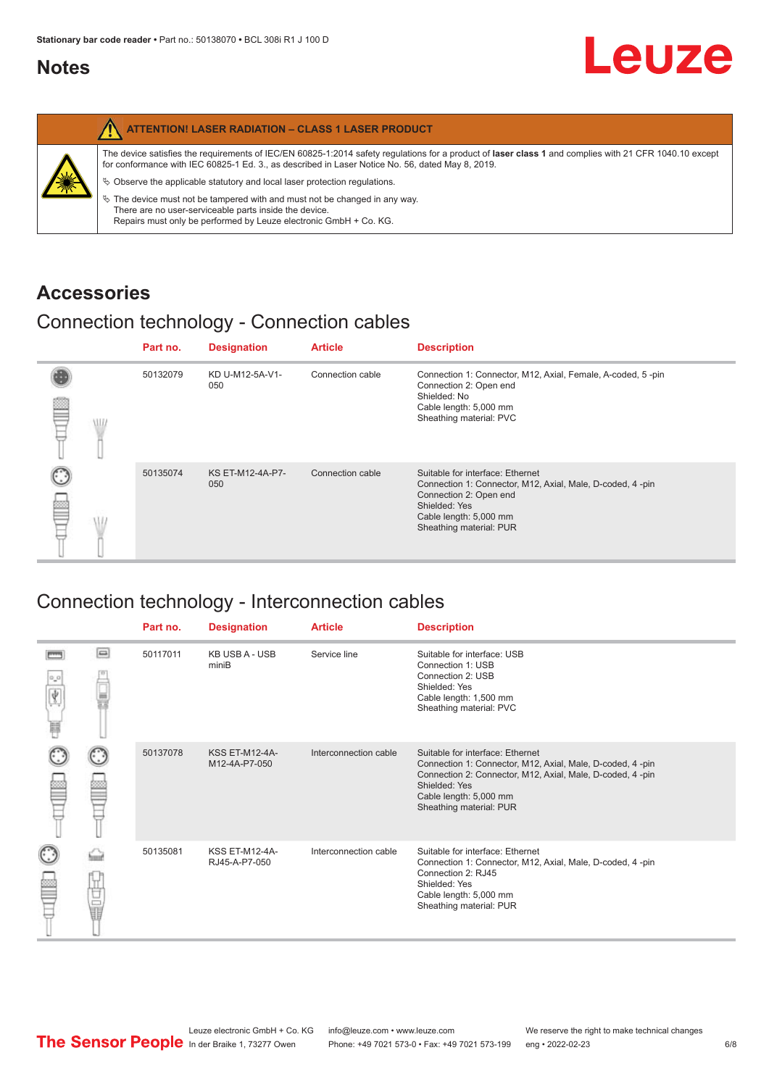#### <span id="page-5-0"></span>**Notes**

|   | <b>ATTENTION! LASER RADIATION - CLASS 1 LASER PRODUCT</b>                                                                                                                                                                                                  |
|---|------------------------------------------------------------------------------------------------------------------------------------------------------------------------------------------------------------------------------------------------------------|
| 美 | The device satisfies the requirements of IEC/EN 60825-1:2014 safety requlations for a product of laser class 1 and complies with 21 CFR 1040.10 except<br>for conformance with IEC 60825-1 Ed. 3., as described in Laser Notice No. 56, dated May 8, 2019. |
|   | $\&$ Observe the applicable statutory and local laser protection regulations.                                                                                                                                                                              |
|   | $\%$ The device must not be tampered with and must not be changed in any way.<br>There are no user-serviceable parts inside the device.<br>Repairs must only be performed by Leuze electronic GmbH + Co. KG.                                               |

#### **Accessories**

### Connection technology - Connection cables

|      | Part no. | <b>Designation</b>      | <b>Article</b>   | <b>Description</b>                                                                                                                                                                            |
|------|----------|-------------------------|------------------|-----------------------------------------------------------------------------------------------------------------------------------------------------------------------------------------------|
| \ll. | 50132079 | KD U-M12-5A-V1-<br>050  | Connection cable | Connection 1: Connector, M12, Axial, Female, A-coded, 5-pin<br>Connection 2: Open end<br>Shielded: No<br>Cable length: 5,000 mm<br>Sheathing material: PVC                                    |
|      | 50135074 | KS ET-M12-4A-P7-<br>050 | Connection cable | Suitable for interface: Ethernet<br>Connection 1: Connector, M12, Axial, Male, D-coded, 4-pin<br>Connection 2: Open end<br>Shielded: Yes<br>Cable length: 5,000 mm<br>Sheathing material: PUR |

### Connection technology - Interconnection cables

|                           |                                                                                                                                                                                                                                | Part no. | <b>Designation</b>                     | <b>Article</b>        | <b>Description</b>                                                                                                                                                                                                               |
|---------------------------|--------------------------------------------------------------------------------------------------------------------------------------------------------------------------------------------------------------------------------|----------|----------------------------------------|-----------------------|----------------------------------------------------------------------------------------------------------------------------------------------------------------------------------------------------------------------------------|
| $\frac{1}{\sqrt{2}}$<br>Ħ | $\Box$                                                                                                                                                                                                                         | 50117011 | <b>KB USB A - USB</b><br>miniB         | Service line          | Suitable for interface: USB<br>Connection 1: USB<br>Connection 2: USB<br>Shielded: Yes<br>Cable length: 1,500 mm<br>Sheathing material: PVC                                                                                      |
|                           |                                                                                                                                                                                                                                | 50137078 | <b>KSS ET-M12-4A-</b><br>M12-4A-P7-050 | Interconnection cable | Suitable for interface: Ethernet<br>Connection 1: Connector, M12, Axial, Male, D-coded, 4-pin<br>Connection 2: Connector, M12, Axial, Male, D-coded, 4-pin<br>Shielded: Yes<br>Cable length: 5,000 mm<br>Sheathing material: PUR |
|                           | the filled the control in the control in the control in the control in the control in the control in the control in the control in the control in the control in the control in the control in the control in the control in t | 50135081 | <b>KSS ET-M12-4A-</b><br>RJ45-A-P7-050 | Interconnection cable | Suitable for interface: Ethernet<br>Connection 1: Connector, M12, Axial, Male, D-coded, 4-pin<br>Connection 2: RJ45<br>Shielded: Yes<br>Cable length: 5,000 mm<br>Sheathing material: PUR                                        |

Leuze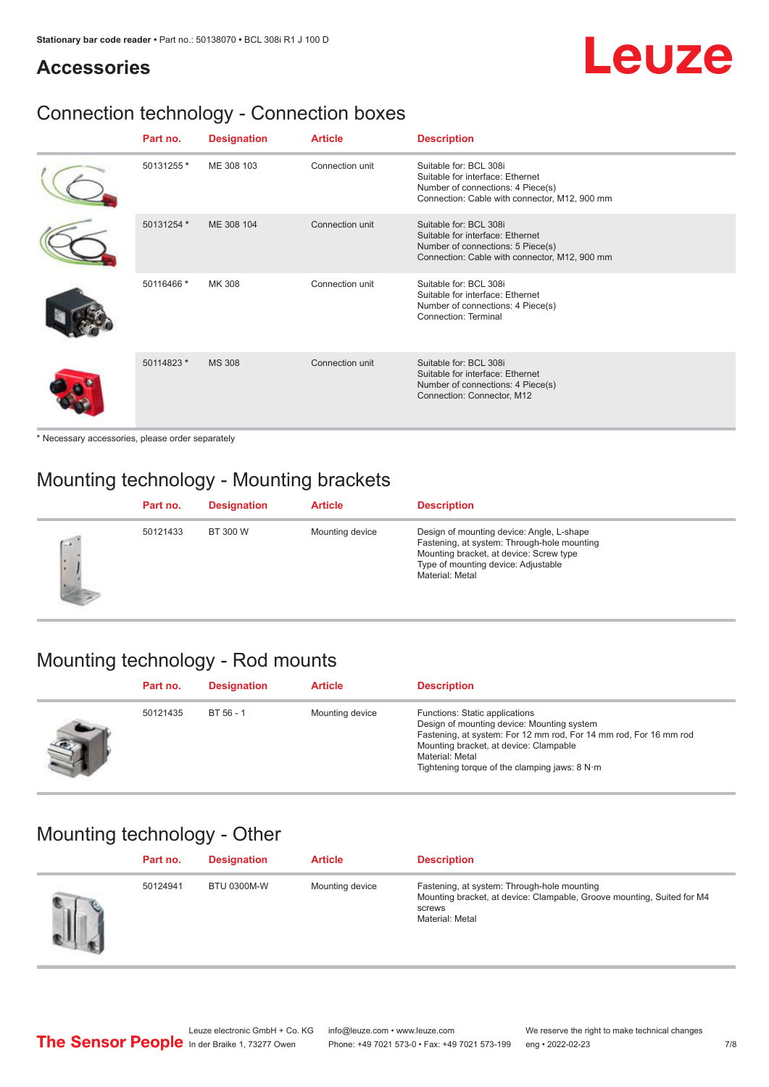# Leuze

#### **Accessories**

### Connection technology - Connection boxes

| Part no.   | <b>Designation</b> | <b>Article</b>  | <b>Description</b>                                                                                                                               |
|------------|--------------------|-----------------|--------------------------------------------------------------------------------------------------------------------------------------------------|
| 50131255 * | ME 308 103         | Connection unit | Suitable for: BCL 308i<br>Suitable for interface: Ethernet<br>Number of connections: 4 Piece(s)<br>Connection: Cable with connector, M12, 900 mm |
| 50131254 * | ME 308 104         | Connection unit | Suitable for: BCL 308i<br>Suitable for interface: Ethernet<br>Number of connections: 5 Piece(s)<br>Connection: Cable with connector, M12, 900 mm |
| 50116466 * | MK 308             | Connection unit | Suitable for: BCL 308i<br>Suitable for interface: Ethernet<br>Number of connections: 4 Piece(s)<br>Connection: Terminal                          |
| 50114823 * | <b>MS 308</b>      | Connection unit | Suitable for: BCL 308i<br>Suitable for interface: Ethernet<br>Number of connections: 4 Piece(s)<br>Connection: Connector, M12                    |

\* Necessary accessories, please order separately

### Mounting technology - Mounting brackets

|        | Part no. | <b>Designation</b> | <b>Article</b>  | <b>Description</b>                                                                                                                                                                            |
|--------|----------|--------------------|-----------------|-----------------------------------------------------------------------------------------------------------------------------------------------------------------------------------------------|
| $\sim$ | 50121433 | BT 300 W           | Mounting device | Design of mounting device: Angle, L-shape<br>Fastening, at system: Through-hole mounting<br>Mounting bracket, at device: Screw type<br>Type of mounting device: Adjustable<br>Material: Metal |

### Mounting technology - Rod mounts

| Part no. | <b>Designation</b> | <b>Article</b>  | <b>Description</b>                                                                                                                                                                                                                                                |
|----------|--------------------|-----------------|-------------------------------------------------------------------------------------------------------------------------------------------------------------------------------------------------------------------------------------------------------------------|
| 50121435 | $BT 56 - 1$        | Mounting device | Functions: Static applications<br>Design of mounting device: Mounting system<br>Fastening, at system: For 12 mm rod, For 14 mm rod, For 16 mm rod<br>Mounting bracket, at device: Clampable<br>Material: Metal<br>Tightening torque of the clamping jaws: $8 N·m$ |

#### Mounting technology - Other

| Part no. | <b>Designation</b> | <b>Article</b>  | <b>Description</b>                                                                                                                                 |
|----------|--------------------|-----------------|----------------------------------------------------------------------------------------------------------------------------------------------------|
| 50124941 | <b>BTU 0300M-W</b> | Mounting device | Fastening, at system: Through-hole mounting<br>Mounting bracket, at device: Clampable, Groove mounting, Suited for M4<br>screws<br>Material: Metal |